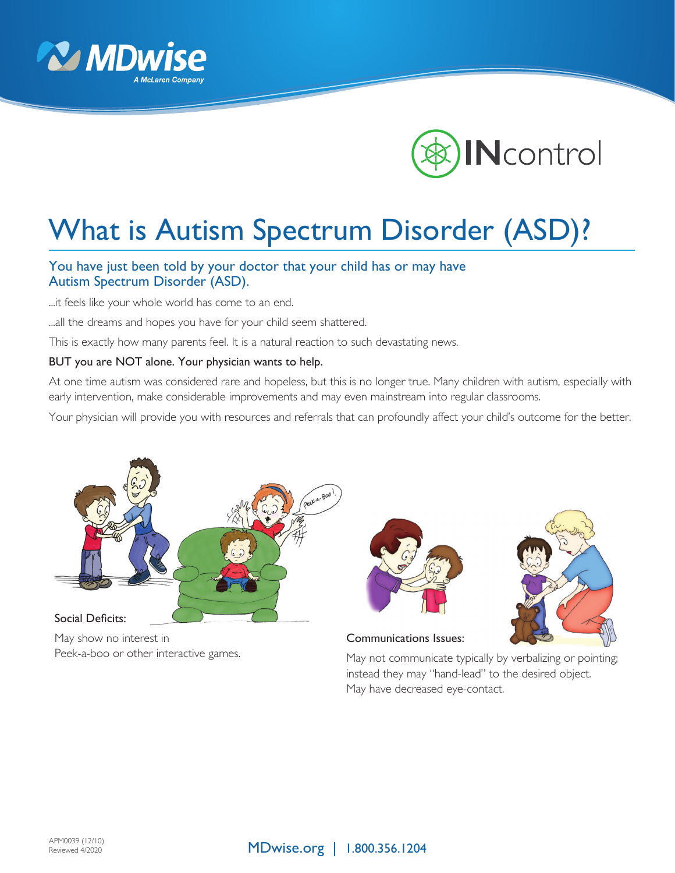



# What is Autism Spectrum Disorder (ASD)?

## You have just been told by your doctor that your child has or may have Autism Spectrum Disorder (ASD).

...it feels like your whole world has come to an end.

...all the dreams and hopes you have for your child seem shattered.

This is exactly how many parents feel. It is a natural reaction to such devastating news.

#### BUT you are NOT alone. Your physician wants to help.

At one time autism was considered rare and hopeless, but this is no longer true. Many children with autism, especially with early intervention, make considerable improvements and may even mainstream into regular classrooms.

Your physician will provide you with resources and referrals that can profoundly affect your child's outcome for the better.



May show no interest in Peek-a-boo or other interactive games.





Communications Issues:

May not communicate typically by verbalizing or pointing; instead they may "hand-lead" to the desired object. May have decreased eye-contact.